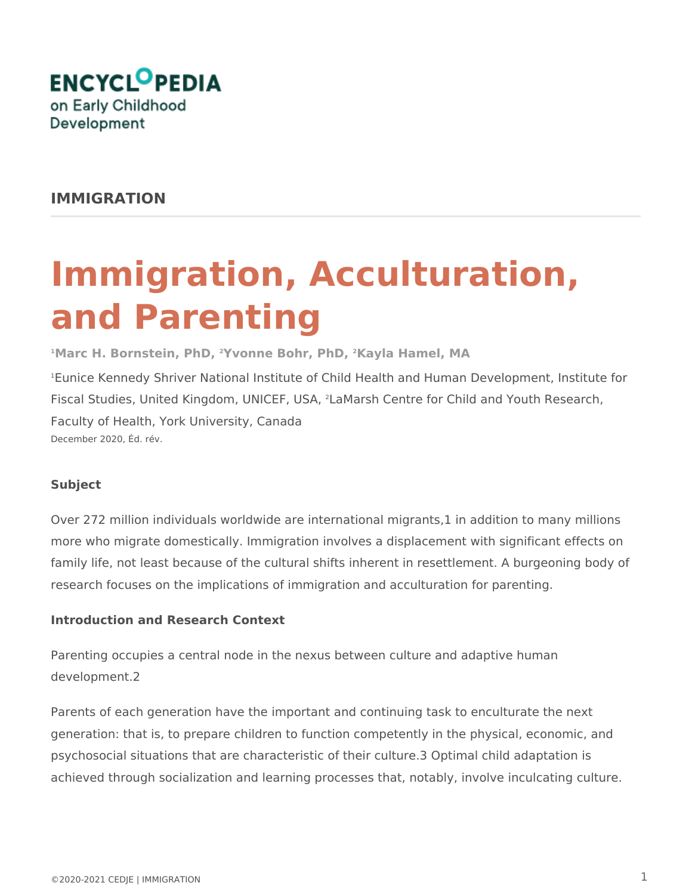

## **IMMIGRATION**

# **Immigration, Acculturation, and Parenting**

**<sup>1</sup>Marc H. Bornstein, PhD, 2Yvonne Bohr, PhD, 2Kayla Hamel, MA**

<sup>1</sup>Eunice Kennedy Shriver National Institute of Child Health and Human Development, Institute for Fiscal Studies, United Kingdom, UNICEF, USA, 2LaMarsh Centre for Child and Youth Research, Faculty of Health, York University, Canada December 2020, Éd. rév.

## **Subject**

Over 272 million individuals worldwide are international migrants,1 in addition to many millions more who migrate domestically. Immigration involves a displacement with significant effects on family life, not least because of the cultural shifts inherent in resettlement. A burgeoning body of research focuses on the implications of immigration and acculturation for parenting.

#### **Introduction and Research Context**

Parenting occupies a central node in the nexus between culture and adaptive human development.2

Parents of each generation have the important and continuing task to enculturate the next generation: that is, to prepare children to function competently in the physical, economic, and psychosocial situations that are characteristic of their culture.3 Optimal child adaptation is achieved through socialization and learning processes that, notably, involve inculcating culture.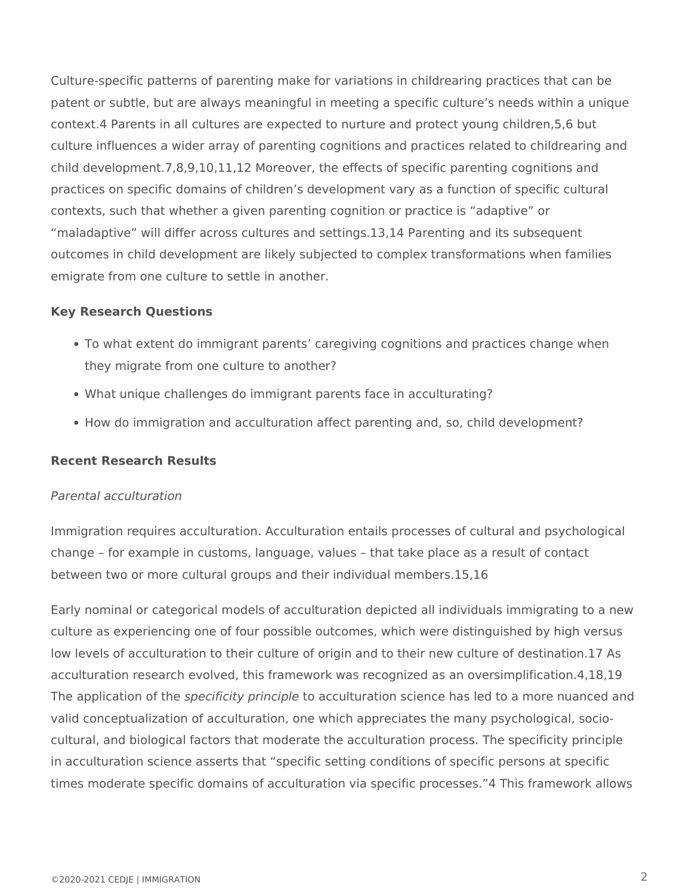Culture-specific patterns of parenting make for variations in childrearing practices that can be patent or subtle, but are always meaningful in meeting a specific culture's needs within a unique context.4 Parents in all cultures are expected to nurture and protect young children,5,6 but culture influences a wider array of parenting cognitions and practices related to childrearing and child development.7,8,9,10,11,12 Moreover, the effects of specific parenting cognitions and practices on specific domains of children's development vary as a function of specific cultural contexts, such that whether a given parenting cognition or practice is "adaptive" or "maladaptive" will differ across cultures and settings.13,14 Parenting and its subsequent outcomes in child development are likely subjected to complex transformations when families emigrate from one culture to settle in another.

#### **Key Research Questions**

- To what extent do immigrant parents' caregiving cognitions and practices change when they migrate from one culture to another?
- What unique challenges do immigrant parents face in acculturating?
- How do immigration and acculturation affect parenting and, so, child development?

#### **Recent Research Results**

#### *Parental acculturation*

Immigration requires acculturation. Acculturation entails processes of cultural and psychological change – for example in customs, language, values – that take place as a result of contact between two or more cultural groups and their individual members.15,16

Early nominal or categorical models of acculturation depicted all individuals immigrating to a new culture as experiencing one of four possible outcomes, which were distinguished by high versus low levels of acculturation to their culture of origin and to their new culture of destination.17 As acculturation research evolved, this framework was recognized as an oversimplification.4,18,19 The application of the *specificity principle* to acculturation science has led to a more nuanced and valid conceptualization of acculturation, one which appreciates the many psychological, sociocultural, and biological factors that moderate the acculturation process. The specificity principle in acculturation science asserts that "specific setting conditions of specific persons at specific times moderate specific domains of acculturation via specific processes."4 This framework allows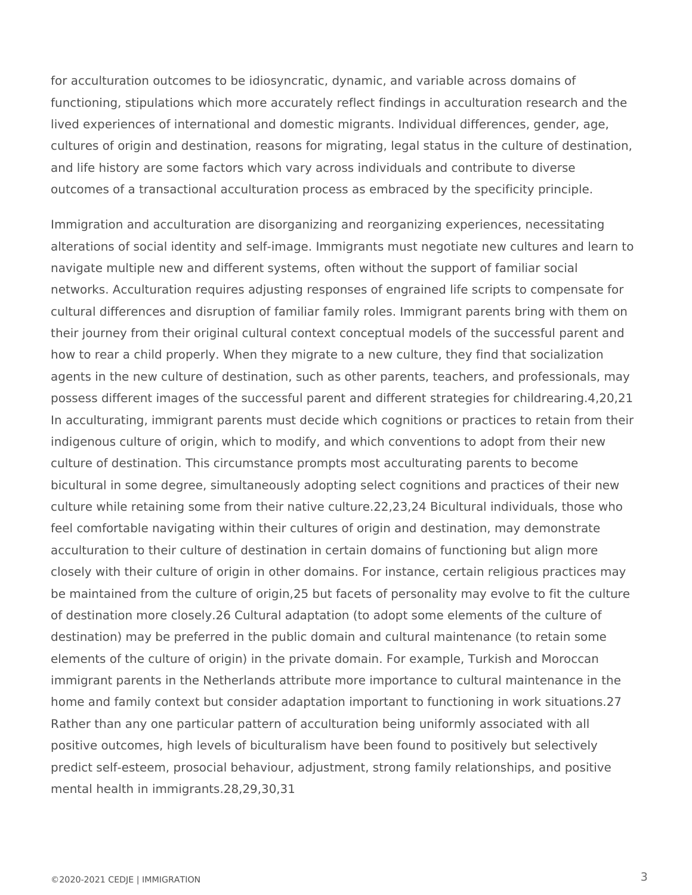for acculturation outcomes to be idiosyncratic, dynamic, and variable across domains of functioning, stipulations which more accurately reflect findings in acculturation research and the lived experiences of international and domestic migrants. Individual differences, gender, age, cultures of origin and destination, reasons for migrating, legal status in the culture of destination, and life history are some factors which vary across individuals and contribute to diverse outcomes of a transactional acculturation process as embraced by the specificity principle.

Immigration and acculturation are disorganizing and reorganizing experiences, necessitating alterations of social identity and self-image. Immigrants must negotiate new cultures and learn to navigate multiple new and different systems, often without the support of familiar social networks. Acculturation requires adjusting responses of engrained life scripts to compensate for cultural differences and disruption of familiar family roles. Immigrant parents bring with them on their journey from their original cultural context conceptual models of the successful parent and how to rear a child properly. When they migrate to a new culture, they find that socialization agents in the new culture of destination, such as other parents, teachers, and professionals, may possess different images of the successful parent and different strategies for childrearing.4,20,21 In acculturating, immigrant parents must decide which cognitions or practices to retain from their indigenous culture of origin, which to modify, and which conventions to adopt from their new culture of destination. This circumstance prompts most acculturating parents to become bicultural in some degree, simultaneously adopting select cognitions and practices of their new culture while retaining some from their native culture.22,23,24 Bicultural individuals, those who feel comfortable navigating within their cultures of origin and destination, may demonstrate acculturation to their culture of destination in certain domains of functioning but align more closely with their culture of origin in other domains. For instance, certain religious practices may be maintained from the culture of origin,25 but facets of personality may evolve to fit the culture of destination more closely.26 Cultural adaptation (to adopt some elements of the culture of destination) may be preferred in the public domain and cultural maintenance (to retain some elements of the culture of origin) in the private domain. For example, Turkish and Moroccan immigrant parents in the Netherlands attribute more importance to cultural maintenance in the home and family context but consider adaptation important to functioning in work situations.27 Rather than any one particular pattern of acculturation being uniformly associated with all positive outcomes, high levels of biculturalism have been found to positively but selectively predict self-esteem, prosocial behaviour, adjustment, strong family relationships, and positive mental health in immigrants.28,29,30,31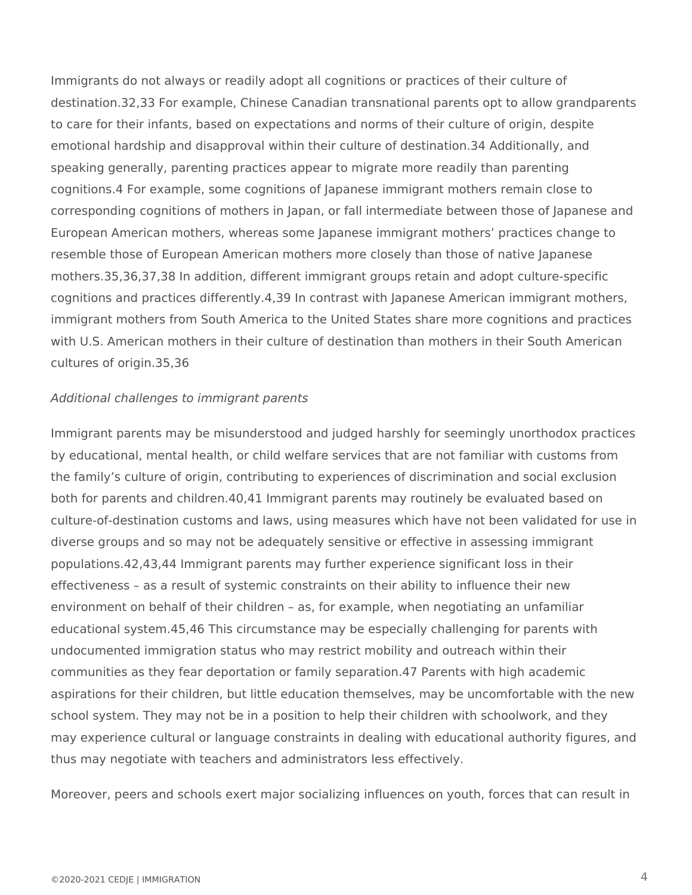Immigrants do not always or readily adopt all cognitions or practices of their culture of destination.32,33 For example, Chinese Canadian transnational parents opt to allow grandparents to care for their infants, based on expectations and norms of their culture of origin, despite emotional hardship and disapproval within their culture of destination.34 Additionally, and speaking generally, parenting practices appear to migrate more readily than parenting cognitions.4 For example, some cognitions of Japanese immigrant mothers remain close to corresponding cognitions of mothers in Japan, or fall intermediate between those of Japanese and European American mothers, whereas some Japanese immigrant mothers' practices change to resemble those of European American mothers more closely than those of native Japanese mothers.35,36,37,38 In addition, different immigrant groups retain and adopt culture-specific cognitions and practices differently.4,39 In contrast with Japanese American immigrant mothers, immigrant mothers from South America to the United States share more cognitions and practices with U.S. American mothers in their culture of destination than mothers in their South American cultures of origin.35,36

#### *Additional challenges to immigrant parents*

Immigrant parents may be misunderstood and judged harshly for seemingly unorthodox practices by educational, mental health, or child welfare services that are not familiar with customs from the family's culture of origin, contributing to experiences of discrimination and social exclusion both for parents and children.40,41 Immigrant parents may routinely be evaluated based on culture-of-destination customs and laws, using measures which have not been validated for use in diverse groups and so may not be adequately sensitive or effective in assessing immigrant populations.42,43,44 Immigrant parents may further experience significant loss in their effectiveness – as a result of systemic constraints on their ability to influence their new environment on behalf of their children – as, for example, when negotiating an unfamiliar educational system.45,46 This circumstance may be especially challenging for parents with undocumented immigration status who may restrict mobility and outreach within their communities as they fear deportation or family separation.47 Parents with high academic aspirations for their children, but little education themselves, may be uncomfortable with the new school system. They may not be in a position to help their children with schoolwork, and they may experience cultural or language constraints in dealing with educational authority figures, and thus may negotiate with teachers and administrators less effectively.

Moreover, peers and schools exert major socializing influences on youth, forces that can result in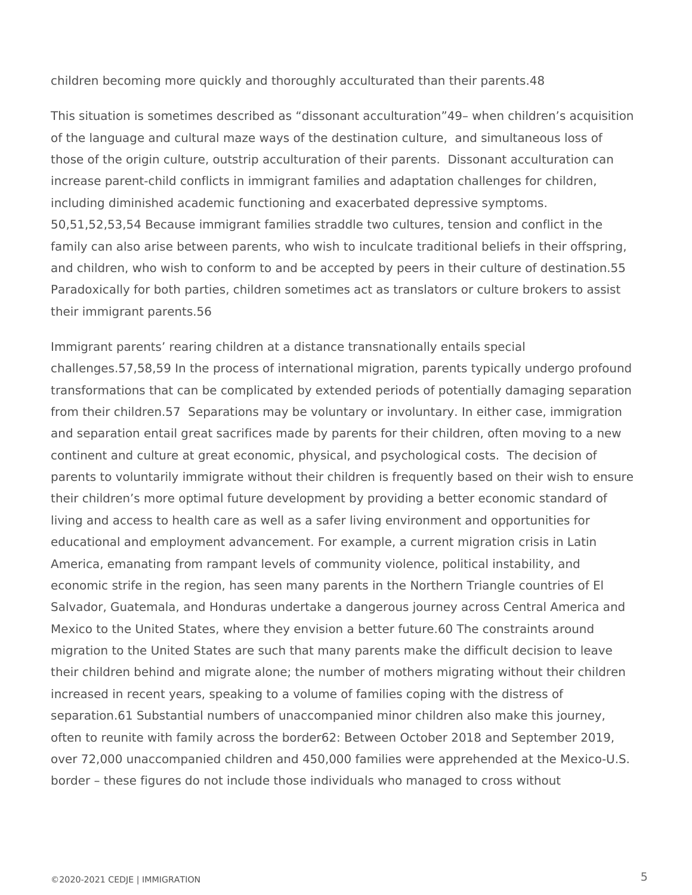children becoming more quickly and thoroughly acculturated than their parents.48

This situation is sometimes described as "dissonant acculturation"49– when children's acquisition of the language and cultural maze ways of the destination culture, and simultaneous loss of those of the origin culture, outstrip acculturation of their parents. Dissonant acculturation can increase parent-child conflicts in immigrant families and adaptation challenges for children, including diminished academic functioning and exacerbated depressive symptoms. 50,51,52,53,54 Because immigrant families straddle two cultures, tension and conflict in the family can also arise between parents, who wish to inculcate traditional beliefs in their offspring, and children, who wish to conform to and be accepted by peers in their culture of destination.55 Paradoxically for both parties, children sometimes act as translators or culture brokers to assist their immigrant parents.56

Immigrant parents' rearing children at a distance transnationally entails special challenges.57,58,59 In the process of international migration, parents typically undergo profound transformations that can be complicated by extended periods of potentially damaging separation from their children.57 Separations may be voluntary or involuntary. In either case, immigration and separation entail great sacrifices made by parents for their children, often moving to a new continent and culture at great economic, physical, and psychological costs. The decision of parents to voluntarily immigrate without their children is frequently based on their wish to ensure their children's more optimal future development by providing a better economic standard of living and access to health care as well as a safer living environment and opportunities for educational and employment advancement. For example, a current migration crisis in Latin America, emanating from rampant levels of community violence, political instability, and economic strife in the region, has seen many parents in the Northern Triangle countries of El Salvador, Guatemala, and Honduras undertake a dangerous journey across Central America and Mexico to the United States, where they envision a better future.60 The constraints around migration to the United States are such that many parents make the difficult decision to leave their children behind and migrate alone; the number of mothers migrating without their children increased in recent years, speaking to a volume of families coping with the distress of separation.61 Substantial numbers of unaccompanied minor children also make this journey, often to reunite with family across the border62: Between October 2018 and September 2019, over 72,000 unaccompanied children and 450,000 families were apprehended at the Mexico-U.S. border – these figures do not include those individuals who managed to cross without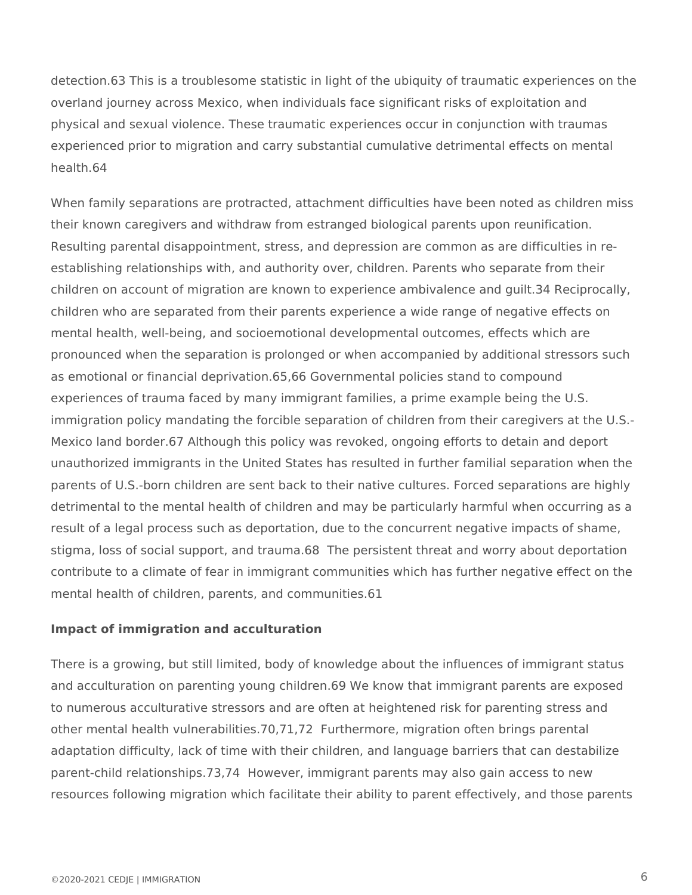detection.63 This is a troublesome statistic in light of the ubiquity of traumatic experiences on the overland journey across Mexico, when individuals face significant risks of exploitation and physical and sexual violence. These traumatic experiences occur in conjunction with traumas experienced prior to migration and carry substantial cumulative detrimental effects on mental health.64

When family separations are protracted, attachment difficulties have been noted as children miss their known caregivers and withdraw from estranged biological parents upon reunification. Resulting parental disappointment, stress, and depression are common as are difficulties in reestablishing relationships with, and authority over, children. Parents who separate from their children on account of migration are known to experience ambivalence and guilt.34 Reciprocally, children who are separated from their parents experience a wide range of negative effects on mental health, well-being, and socioemotional developmental outcomes, effects which are pronounced when the separation is prolonged or when accompanied by additional stressors such as emotional or financial deprivation.65,66 Governmental policies stand to compound experiences of trauma faced by many immigrant families, a prime example being the U.S. immigration policy mandating the forcible separation of children from their caregivers at the U.S.- Mexico land border.67 Although this policy was revoked, ongoing efforts to detain and deport unauthorized immigrants in the United States has resulted in further familial separation when the parents of U.S.-born children are sent back to their native cultures. Forced separations are highly detrimental to the mental health of children and may be particularly harmful when occurring as a result of a legal process such as deportation, due to the concurrent negative impacts of shame, stigma, loss of social support, and trauma.68 The persistent threat and worry about deportation contribute to a climate of fear in immigrant communities which has further negative effect on the mental health of children, parents, and communities.61

#### **Impact of immigration and acculturation**

There is a growing, but still limited, body of knowledge about the influences of immigrant status and acculturation on parenting young children.69 We know that immigrant parents are exposed to numerous acculturative stressors and are often at heightened risk for parenting stress and other mental health vulnerabilities.70,71,72 Furthermore, migration often brings parental adaptation difficulty, lack of time with their children, and language barriers that can destabilize parent-child relationships.73,74 However, immigrant parents may also gain access to new resources following migration which facilitate their ability to parent effectively, and those parents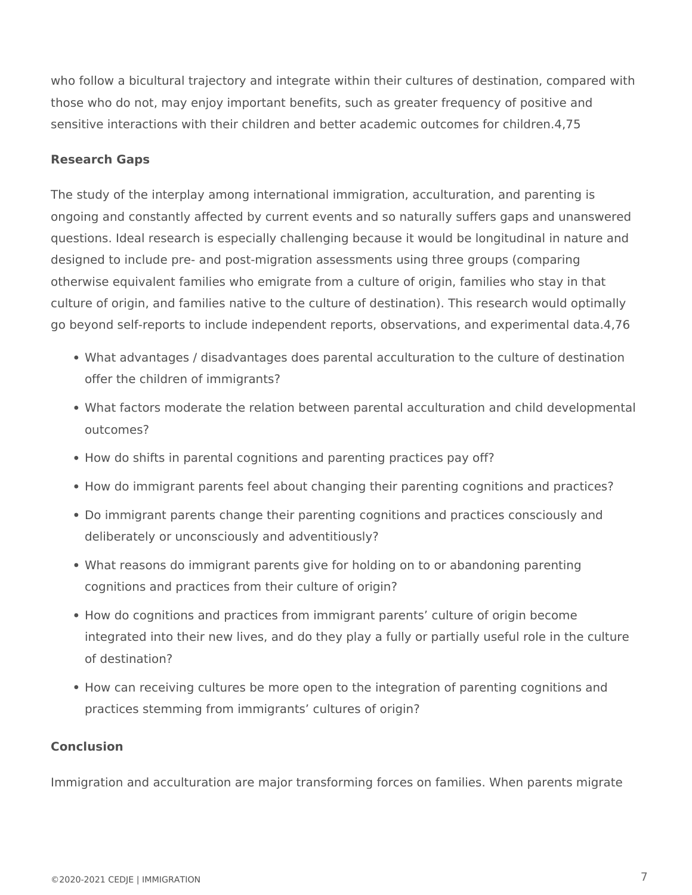who follow a bicultural trajectory and integrate within their cultures of destination, compared with those who do not, may enjoy important benefits, such as greater frequency of positive and sensitive interactions with their children and better academic outcomes for children.4,75

### **Research Gaps**

The study of the interplay among international immigration, acculturation, and parenting is ongoing and constantly affected by current events and so naturally suffers gaps and unanswered questions. Ideal research is especially challenging because it would be longitudinal in nature and designed to include pre- and post-migration assessments using three groups (comparing otherwise equivalent families who emigrate from a culture of origin, families who stay in that culture of origin, and families native to the culture of destination). This research would optimally go beyond self-reports to include independent reports, observations, and experimental data.4,76

- What advantages / disadvantages does parental acculturation to the culture of destination offer the children of immigrants?
- What factors moderate the relation between parental acculturation and child developmental outcomes?
- How do shifts in parental cognitions and parenting practices pay off?
- How do immigrant parents feel about changing their parenting cognitions and practices?
- Do immigrant parents change their parenting cognitions and practices consciously and deliberately or unconsciously and adventitiously?
- What reasons do immigrant parents give for holding on to or abandoning parenting cognitions and practices from their culture of origin?
- How do cognitions and practices from immigrant parents' culture of origin become integrated into their new lives, and do they play a fully or partially useful role in the culture of destination?
- How can receiving cultures be more open to the integration of parenting cognitions and practices stemming from immigrants' cultures of origin?

#### **Conclusion**

Immigration and acculturation are major transforming forces on families. When parents migrate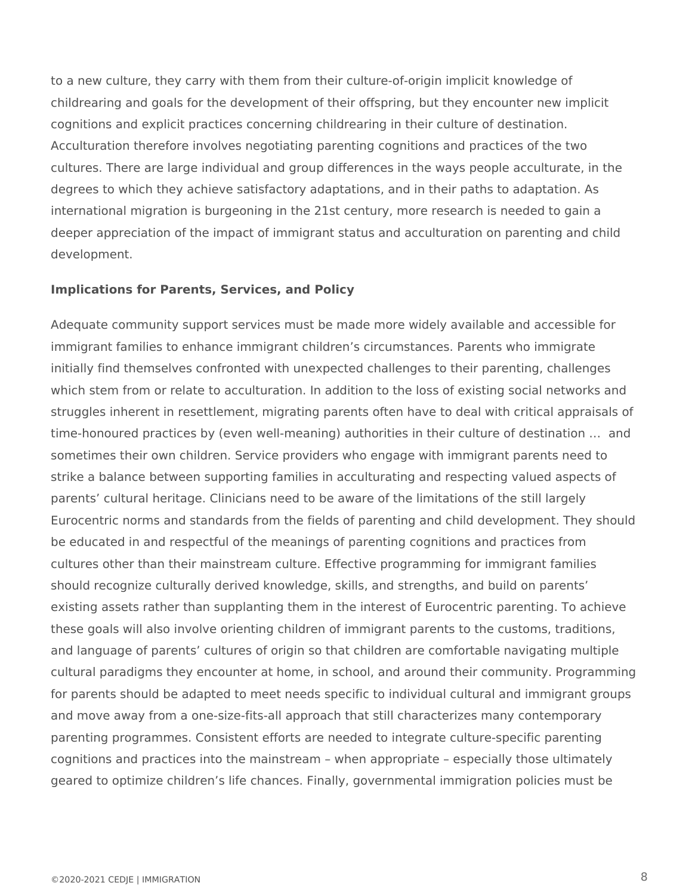to a new culture, they carry with them from their culture-of-origin implicit knowledge of childrearing and goals for the development of their offspring, but they encounter new implicit cognitions and explicit practices concerning childrearing in their culture of destination. Acculturation therefore involves negotiating parenting cognitions and practices of the two cultures. There are large individual and group differences in the ways people acculturate, in the degrees to which they achieve satisfactory adaptations, and in their paths to adaptation. As international migration is burgeoning in the 21st century, more research is needed to gain a deeper appreciation of the impact of immigrant status and acculturation on parenting and child development.

#### **Implications for Parents, Services, and Policy**

Adequate community support services must be made more widely available and accessible for immigrant families to enhance immigrant children's circumstances. Parents who immigrate initially find themselves confronted with unexpected challenges to their parenting, challenges which stem from or relate to acculturation. In addition to the loss of existing social networks and struggles inherent in resettlement, migrating parents often have to deal with critical appraisals of time-honoured practices by (even well-meaning) authorities in their culture of destination … and sometimes their own children. Service providers who engage with immigrant parents need to strike a balance between supporting families in acculturating and respecting valued aspects of parents' cultural heritage. Clinicians need to be aware of the limitations of the still largely Eurocentric norms and standards from the fields of parenting and child development. They should be educated in and respectful of the meanings of parenting cognitions and practices from cultures other than their mainstream culture. Effective programming for immigrant families should recognize culturally derived knowledge, skills, and strengths, and build on parents' existing assets rather than supplanting them in the interest of Eurocentric parenting. To achieve these goals will also involve orienting children of immigrant parents to the customs, traditions, and language of parents' cultures of origin so that children are comfortable navigating multiple cultural paradigms they encounter at home, in school, and around their community. Programming for parents should be adapted to meet needs specific to individual cultural and immigrant groups and move away from a one-size-fits-all approach that still characterizes many contemporary parenting programmes. Consistent efforts are needed to integrate culture-specific parenting cognitions and practices into the mainstream – when appropriate – especially those ultimately geared to optimize children's life chances. Finally, governmental immigration policies must be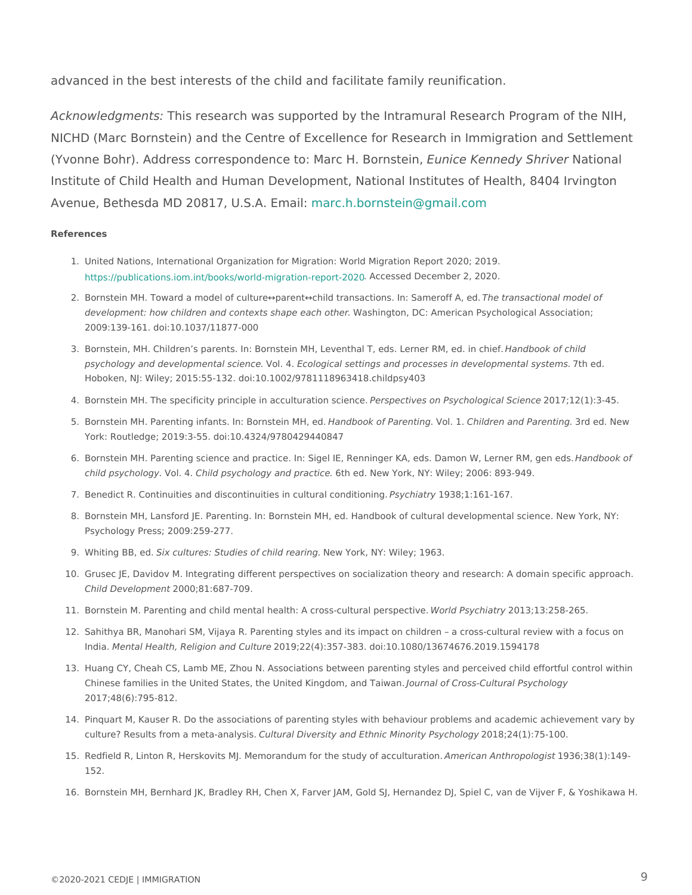advanced in the best interests of the child and facilitate family reunificatio

Acknowledgmenthss research was supported by the Intramural Research Prog NICHD (Marc Bornstein) and the Centre of Excellence for Research in Immig (Yvonne Bohr). Address correspondence to: Meandche.KBeanmesdeinSN aitvienal Institute of Child Health and Human Development, National Institutes of He Avenue, Bethesda MD 20817, Um $\mathcal{S}_a$ . He the anih: stein @gmail.com

#### References

- 1. United Nations, International Organization for Migration: World Migration Report 2020; 2019. [https://publications.iom.int/books/world-mig](https://publications.iom.int/books/world-migration-report-2020)ra4 PoFe+Sened Pezezmober 2, 2020.
- 2. Bornstein MH. Toward a model of culture!"parent!"child transactiTchnes.trlannsSa**etnen**oafifmAqdeed.of development: how children and contexts s.h Mpaes heianghtoont,h DnC: American Psychological Association 2009:139-161. doi:10.1037/11877-000
- 3. Bornstein, MH. Children s parents. In: Bornstein MH, Leventhal T, Headhsd bloomkn**ef Rh**Mlded. in chief psychology and developmentaV osici **B**oobogical settings and processes in devel  $\vec{\sigma}$ phmendtal systems. Hoboken, NJ: Wiley; 2015:55-132. doi:10.1002/9781118963418.childpsy403
- 4. Bornstein MH. The specificity principle in aceultsupatition escience Psychologio2a013 ciente: 3-45.
- 5. Bornstein MH. Parenting infants. In: Bblamsdebook MoHf, Peadre Wibilng Cthildren and Pare 3ntding d. New York: Routledge; 2019:3-55. doi:10.4324/9780429440847
- 6. Bornstein MH. Parenting science and practice. In: Sigel IE, Renninger KA, edbsan Ddabmook Wi, Lern child psychology. Child psychology and postaticle New York, NY: Wiley; 2006: 893–949.
- 7. Benedict R. Continuities and discontinuities in cPuslytuonial totog 68 of thioning in g167.
- 8. Bornstein MH, Lansford JE. Parenting. In: Bornstein MH, ed. Handbook of cultural development Psychology Press; 2009:259-277.
- 9. Whiting BB, Sexd. cultures: Studies of chNelwreYaorning NY: Wiley; 1963.
- 10.Grusec JE, Davidov M. Integrating different perspectives on socialization theory and research: Child Developm 000;81:687-709.
- 11. Bornstein M. Parenting and child mental health: A crosWs ordult Prsaylch e2rolshowe.clt3:v2858-265.
- 12.Sahithya BR, Manohari SM, Vijaya R. Parenting styles and its impact on children a cross-cult IndiaMental Health, Religion an2<br/>@ 1C9y [212] (ne):357-383. doi:10.1080/13674676.2019.1594178
- 13.Huang CY, Cheah CS, Lamb ME, Zhou N. Associations between parenting styles and perceived Chinese families in the United States, the United Klionugrchœmh, o fan CdroTsæsi+wCaunltural Psychology 2017;48(6):795-812.
- 14. Pinquart M, Kauser R. Do the associations of parenting styles with behaviour problems and aca culture? Results from a met@adthuarlaylsDsiversity and Ethnic Minor @ \$1 Ps \$ 4 (1 b) 107g5y-100.
- 15. Redfield R, Linton R, Herskovits MJ. Memorandum for theAnsateurodiga onfAanctchurkotpuonkholiga6ns,138(1):149-152.
- 16.Bornstein MH, Bernhard JK, Bradley RH, Chen X, Farver JAM, Gold SJ, Hernandez DJ, Spiel C,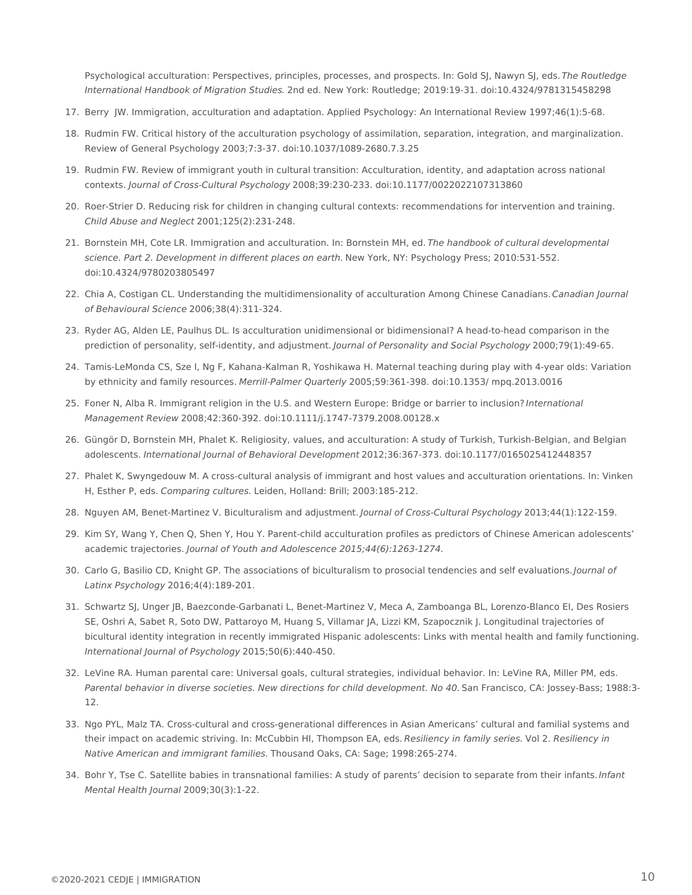Psychological acculturation: Perspectives, principles, processes, and prospects. In: Gold SJ, Nawyn SJ, eds. *The Routledge*  International Handbook of Migration Studies. 2nd ed. New York: Routledge; 2019:19-31. doi:10.4324/9781315458298

- 17. Berry JW. Immigration, acculturation and adaptation. Applied Psychology: An International Review 1997;46(1):5-68.
- 18. Rudmin FW. Critical history of the acculturation psychology of assimilation, separation, integration, and marginalization. Review of General Psychology 2003;7:3-37. doi:10.1037/1089-2680.7.3.25
- 19. Rudmin FW. Review of immigrant youth in cultural transition: Acculturation, identity, and adaptation across national contexts. *Journal of Cross-Cultural Psychology* 2008;39:230-233. doi:10.1177/0022022107313860
- 20. Roer-Strier D. Reducing risk for children in changing cultural contexts: recommendations for intervention and training. *Child Abuse and Neglect* 2001;125(2):231-248.
- 21. Bornstein MH, Cote LR. Immigration and acculturation. In: Bornstein MH, ed. *The handbook of cultural developmental*  science. Part 2. Development in different places on earth. New York, NY: Psychology Press; 2010:531-552. doi:10.4324/9780203805497
- 22. Chia A, Costigan CL. Understanding the multidimensionality of acculturation Among Chinese Canadians. *Canadian Journal*  2006;38(4):311-324. *of Behavioural Science*
- 23. Ryder AG, Alden LE, Paulhus DL. Is acculturation unidimensional or bidimensional? A head-to-head comparison in the prediction of personality, self-identity, and adjustment. *Journal of Personality and Social Psychology* 2000;79(1):49-65.
- 24. Tamis-LeMonda CS, Sze I, Ng F, Kahana-Kalman R, Yoshikawa H. Maternal teaching during play with 4-year olds: Variation by ethnicity and family resources. *Merrill-Palmer Quarterly* 2005;59:361-398. doi:10.1353/ mpq.2013.0016
- 25. Foner N, Alba R. Immigrant religion in the U.S. and Western Europe: Bridge or barrier to inclusion? *International*  2008;42:360-392. doi:10.1111/j.1747-7379.2008.00128.x *Management Review*
- 26. Güngör D, Bornstein MH, Phalet K. Religiosity, values, and acculturation: A study of Turkish, Turkish-Belgian, and Belgian adolescents. *International Journal of Behavioral Development* 2012;36:367-373. doi:10.1177/0165025412448357
- 27. Phalet K, Swyngedouw M. A cross-cultural analysis of immigrant and host values and acculturation orientations. In: Vinken H, Esther P, eds. *Comparing cultures.* Leiden, Holland: Brill; 2003:185-212.
- 28. Nguyen AM, Benet-Martinez V. Biculturalism and adjustment. *Journal of Cross-Cultural Psychology* 2013;44(1):122-159.
- 29. Kim SY, Wang Y, Chen Q, Shen Y, Hou Y. Parent-child acculturation profiles as predictors of Chinese American adolescents' academic trajectories. *Journal of Youth and Adolescence 2015;44(6):1263-1274.*
- 30. Carlo G, Basilio CD, Knight GP. The associations of biculturalism to prosocial tendencies and self evaluations. *Journal of*  2016;4(4):189-201. *Latinx Psychology*
- 31. Schwartz SJ, Unger JB, Baezconde-Garbanati L, Benet-Martinez V, Meca A, Zamboanga BL, Lorenzo-Blanco EI, Des Rosiers SE, Oshri A, Sabet R, Soto DW, Pattaroyo M, Huang S, Villamar JA, Lizzi KM, Szapocznik J. Longitudinal trajectories of bicultural identity integration in recently immigrated Hispanic adolescents: Links with mental health and family functioning. *International Journal of Psychology* 2015;50(6):440-450.
- 32. LeVine RA. Human parental care: Universal goals, cultural strategies, individual behavior. In: LeVine RA, Miller PM, eds. Parental behavior in diverse societies. New directions for child development. No 40. San Francisco, CA: Jossey-Bass; 1988:3-12.
- 33. Ngo PYL, Malz TA. Cross-cultural and cross-generational differences in Asian Americans' cultural and familial systems and their impact on academic striving. In: McCubbin HI, Thompson EA, eds. R*esiliency in family series.* Vol 2. Resiliency in *Native American and immigrant families.* Thousand Oaks, CA: Sage; 1998:265-274.
- 34. Bohr Y, Tse C. Satellite babies in transnational families: A study of parents' decision to separate from their infants. *Infant*  2009;30(3):1-22. *Mental Health Journal*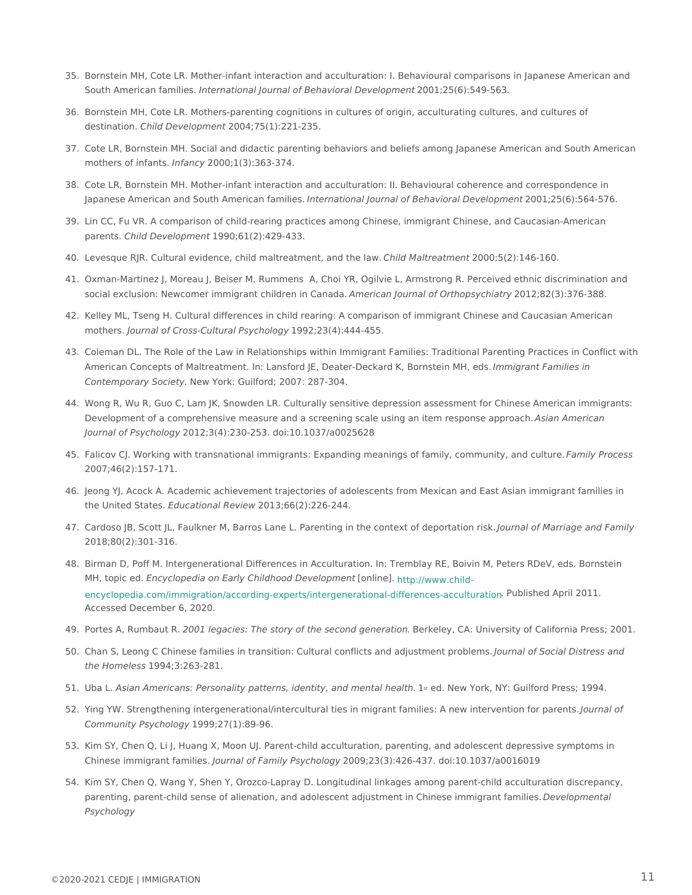- 35.Bornstein MH, Cote LR. Mother-infant interaction and acculturation: I. Behavioural comparisons South American falmitle estational Journal of Behavioral 2D @ ve 25 66m e 549-563.
- 36.Bornstein MH, Cote LR. Mothers-parenting cognitions in cultures of origin, acculturating cultur destinati $\text{Qm}$ . Id Development  $25(1):221-235$ .
- 37. Cote LR, Bornstein MH. Social and didactic parenting behaviors and beliefs among Japanese A mothers of inflamftesnc $x$ 000;1(3):363-374.
- 38. Cote LR, Bornstein MH. Mother-infant interaction and acculturation: II. Behavioural coherence Japanese American and South Amerlinctær nfaminional Journal of Behavioral 2D@ vp25 (601) e50 64 - 576.
- 39.Lin CC, Fu VR. A comparison of child-rearing practices among Chinese, immigrant Chinese, and  $parent$child$  Development  $61(2):429-433$ .
- 40. Levesque RJR. Cultural evidence, child maltrea Ct mid dt Mahtdetaht and we; 5(2): 146-160.
- 41.Oxman-Martinez J, Moreau J, Beiser M, Rummens A, Choi YR, Ogilvie L, Armstrong R. Perceive social exclusion: Newcomer immigrant chi Admenican Calonardnaal of OrthopSylah Balt(r3y):376-388.
- 42.Kelley ML, Tseng H. Cultural differences in child rearing: A comparison of immigrant Chinese a mothersournal of Cross-Cultural P992h23(4): 444-455.
- 43.Coleman DL. The Role of the Law in Relationships within Immigrant Families: Traditional Paren American Concepts of Maltreatment. In: Lansford JE, Deater-DedkmamdgKanBoFrasntieliesMih, eds. Contemporary SodNetwy York: Guilford; 2007: 287-304.
- 44. Wong R, Wu R, Guo C, Lam JK, Snowden LR. Culturally sensitive depression assessment for Ch Development of a comprehensive measure and a screening scale using AssiathemAmresipcamse approa Journal of Psych2@lho2g;y3(4):230–253. doi:10.1037/a0025628
- 45.Falicov CJ. Working with transnational immigrants: Expanding meanings of fFaammilyy Poronomersity, and culture. The culture of the culture of the culture. The culture of the culture of the culture of the culture of the 2007;46(2):157-171.
- 46.Jeong YJ, Acock A. Academic achievement trajectories of adolescents from Mexican and East A the United States.ational  $Re20000(2):226-244$ .
- 47. Cardoso JB, Scott JL, Faulkner M, Barros Lane L. Parenting in theo commate xotf oMfadeipaggretaethodn Fraisnkily 2018;80(2):301-316.
- 48.Birman D, Poff M. Intergenerational Differences in Acculturation. In: Tremblay RE, Boivin M, P MH, topic Eendcyclopedia on Early Childhood Dœnvloèntopmentwww.child-

[encyclopedia.com/immigration/according-experts/intergenerationa](http://www.child-encyclopedia.com/immigration/according-experts/intergenerational-differences-acculturation)l-Bl#bbirschredesA-paroiclu20d riation Accessed December 6, 2020.

- 49. Portes A, Rumb 2001 R legacies: The story of the seconBolengkenieyat CoAn: University of California Pres
- 50.Chan S, Leong C Chinese families in transition: Cultural conflict boanndaa objfu Stonce ant Dirsottrleesms sand the  $H$ omelets $9s94;3:263-281$ .
- 51. Uba LAsian Americans: Personality patterns, identity, land molemutal ordeal NHY: Guilford Press; 1994.
- 52. Ying YW. Strengthening intergenerational/intercultural ties in migrant families.bo A rnaw ointervent 1999;27(1):89-96. Community Psychology
- 53.Kim SY, Chen Q, Li J, Huang X, Moon UJ. Parent-child acculturation, parenting, and adolescen Chinese immigrant falmultimess. of Family Ps $\mathcal{Q}$ cOro $\mathcal{Q}$ coro $(3)$ :426-437. doi:10.1037/a0016019
- 54.Kim SY, Chen Q, Wang Y, Shen Y, Orozco-Lapray D. Longitudinal linkages among parent-child a parenting, parent-child sense of alienation, and adolescent adjustment iDae Ghine menimmigrant fa Psychology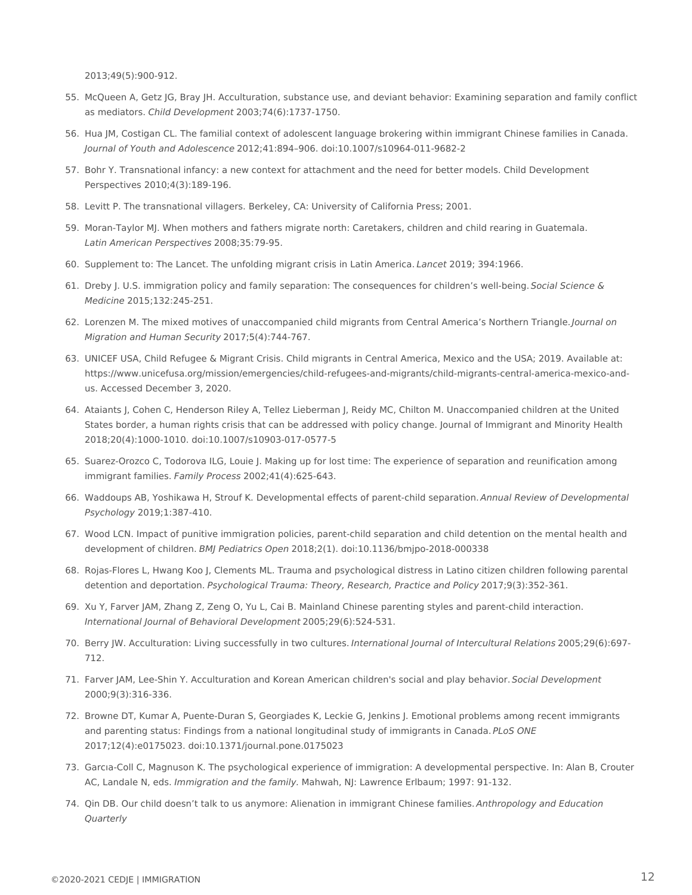2013;49(5):900-912.

- 55. McQueen A, Getz JG, Bray JH. Acculturation, substance use, and deviant behavior: Examining separation and family conflict as mediators. *Child Development* 2003;74(6):1737-1750.
- 56. Hua JM, Costigan CL. The familial context of adolescent language brokering within immigrant Chinese families in Canada. *Journal of Youth and Adolescence* 2012;41:894–906. doi:10.1007/s10964-011-9682-2
- 57. Bohr Y. Transnational infancy: a new context for attachment and the need for better models. Child Development Perspectives 2010;4(3):189-196.
- 58. Levitt P. The transnational villagers. Berkeley, CA: University of California Press; 2001.
- 59. Moran-Taylor MJ. When mothers and fathers migrate north: Caretakers, children and child rearing in Guatemala. *Latin American Perspectives* 2008;35:79-95.
- 60. Supplement to: The Lancet. The unfolding migrant crisis in Latin America. *Lancet* 2019; 394:1966.
- 61. Dreby J. U.S. immigration policy and family separation: The consequences for children's well-being. *Social Science &*  2015;132:245-251. *Medicine*
- 62. Lorenzen M. The mixed motives of unaccompanied child migrants from Central America's Northern Triangle. *Journal on*  2017;5(4):744-767. *Migration and Human Security*
- 63. UNICEF USA, Child Refugee & Migrant Crisis. Child migrants in Central America, Mexico and the USA; 2019. Available at: https://www.unicefusa.org/mission/emergencies/child-refugees-and-migrants/child-migrants-central-america-mexico-andus. Accessed December 3, 2020.
- 64. Ataiants J, Cohen C, Henderson Riley A, Tellez Lieberman J, Reidy MC, Chilton M. Unaccompanied children at the United States border, a human rights crisis that can be addressed with policy change. Journal of Immigrant and Minority Health 2018;20(4):1000-1010. doi:10.1007/s10903-017-0577-5
- 65. Suarez-Orozco C, Todorova ILG, Louie J. Making up for lost time: The experience of separation and reunification among immigrant families. *Family Process* 2002;41(4):625-643.
- 66. Waddoups AB, Yoshikawa H, Strouf K. Developmental effects of parent-child separation. *Annual Review of Developmental*  2019;1:387-410. *Psychology*
- 67. Wood LCN. Impact of punitive immigration policies, parent-child separation and child detention on the mental health and development of children. *BMJ Pediatrics Open* 2018;2(1). doi:10.1136/bmjpo-2018-000338
- 68. Rojas-Flores L, Hwang Koo J, Clements ML. Trauma and psychological distress in Latino citizen children following parental detention and deportation. *Psychological Trauma: Theory, Research, Practice and Policy* 2017;9(3):352-361.
- 69. Xu Y, Farver JAM, Zhang Z, Zeng O, Yu L, Cai B. Mainland Chinese parenting styles and parent-child interaction. *International Journal of Behavioral Development* 2005;29(6):524-531.
- 70. Berry JW. Acculturation: Living successfully in two cultures. International Journal of Intercultural Relations 2005;29(6):697-712.
- 71. Farver JAM, Lee-Shin Y. Acculturation and Korean American children's social and play behavior. *Social Development* 2000;9(3):316-336.
- 72. Browne DT, Kumar A, Puente-Duran S, Georgiades K, Leckie G, Jenkins J. Emotional problems among recent immigrants and parenting status: Findings from a national longitudinal study of immigrants in Canada. *PLoS ONE* 2017;12(4):e0175023. doi:10.1371/journal.pone.0175023
- 73. Garcıa-Coll C, Magnuson K. The psychological experience of immigration: A developmental perspective. In: Alan B, Crouter AC, Landale N, eds. *Immigration and the family.* Mahwah, NJ: Lawrence Erlbaum; 1997: 91-132.
- 74. Qin DB. Our child doesn't talk to us anymore: Alienation in immigrant Chinese families. *Anthropology and Education Quarterly*